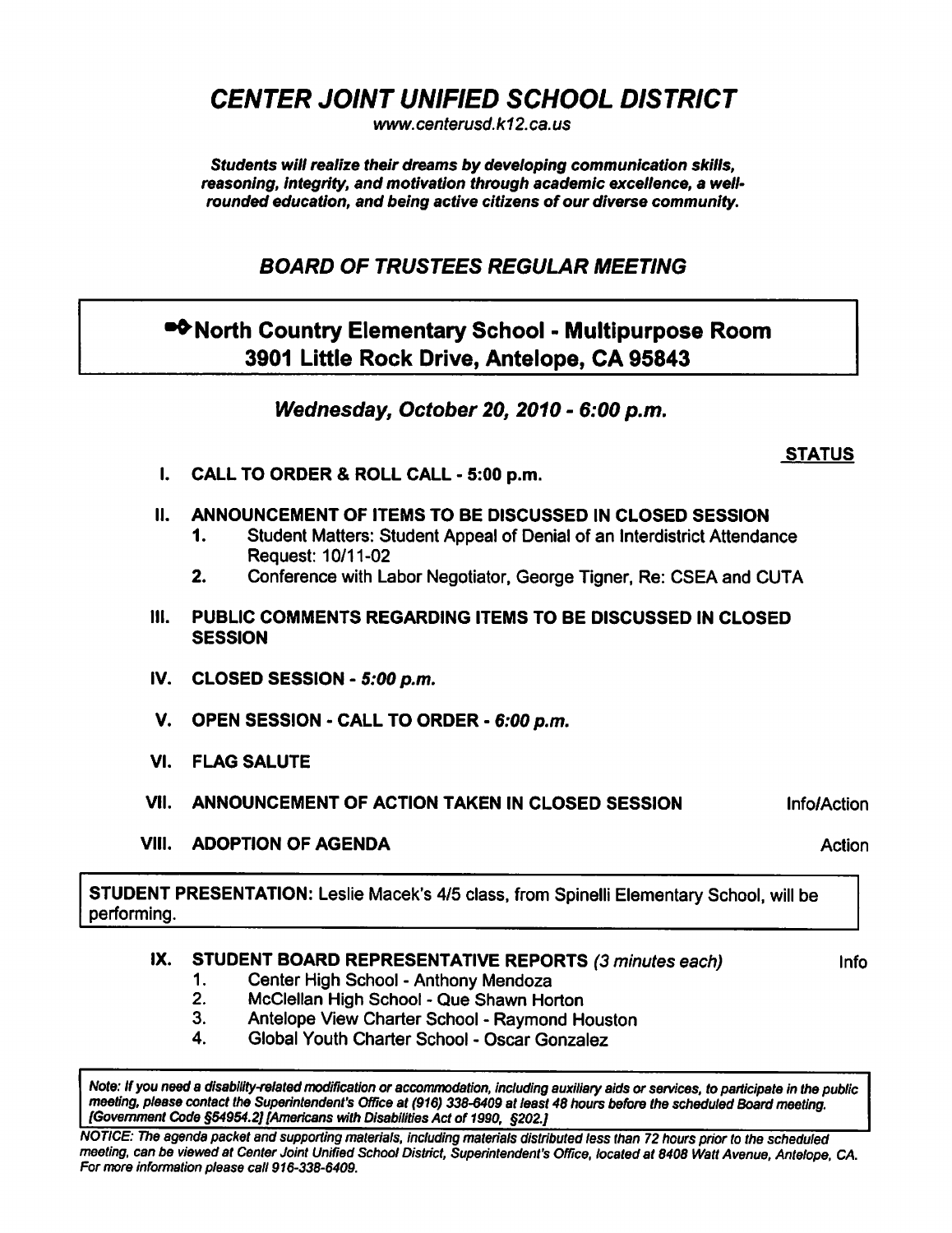CENTER JOINT UNIFIED SCHOOL DISTRICT

www. centerusd. k12. ca. us

Students will realize their dreams by developing communication skills, reasoning, integrity, and motivation through academic excellence, a wellrounded education, and being active citizens of our diverse community.

BOARD OF TRUSTEES REGULAR MEETING

## •<sup>•</sup>North Country Elementary School - Multipurpose Room 3901 Little Rock Drive, Antelope, CA 95843

Wednesday, October 20, 2010 - 6:00 p.m.

## **STATUS**

- I. CALL TO ORDER & ROLL CALL 5:00 p.m.
- II. ANNOUNCEMENT OF ITEMS TO BE DISCUSSED IN CLOSED SESSION
	- 1. Student Matters: Student Appeal of Denial of an Interdistrict Attendance Request: 10/11-02
	- 2. Conference with Labor Negotiator, George Tigner, Re: CSEA and CUTA
- III. PUBLIC COMMENTS REGARDING ITEMS TO BE DISCUSSED IN CLOSED **SESSION**
- IV. CLOSED SESSION  $5:00$  p.m.
- V. OPEN SESSION CALL TO ORDER 6:00 p.m.
- VI. FLAG SALUTE
- VII. ANNOUNCEMENT OF ACTION TAKEN IN CLOSED SESSION Info/Action
- VIII. ADOPTION OF AGENDA Action Action Action

STUDENT PRESENTATION: Leslie Macek's 4/5 class, from Spinelli Elementary School, will be performing.

## IX. STUDENT BOARD REPRESENTATIVE REPORTS (3 minutes each) lnfo

- 1. Center High School Anthony Mendoza
- 2. McClellan High School Que Shawn Horton
- 3. Antelope View Charter School Raymond Houston
- 4. Global Youth Charter School Oscar Gonzalez

Note: If you need a disability-related modification or accommodation, including auxiliary aids or services, to participate in the public meeting, please contact the Superintendent's Office at (916) 338-6409 at least 48 hours before the scheduled Board meeting. [Government Code §54954.2] [Americans with Disabilities Act of 1990, §202.]

NOTICE: The agenda packet and supporting materials, including materials distributed less than 72 hours prior to the scheduled meeting, can be viewed at Center Joint Unified School District, Superintendent's Office, located at 8408 Watt Avenue, Antelope, CA. For more information please call 916-338-6409.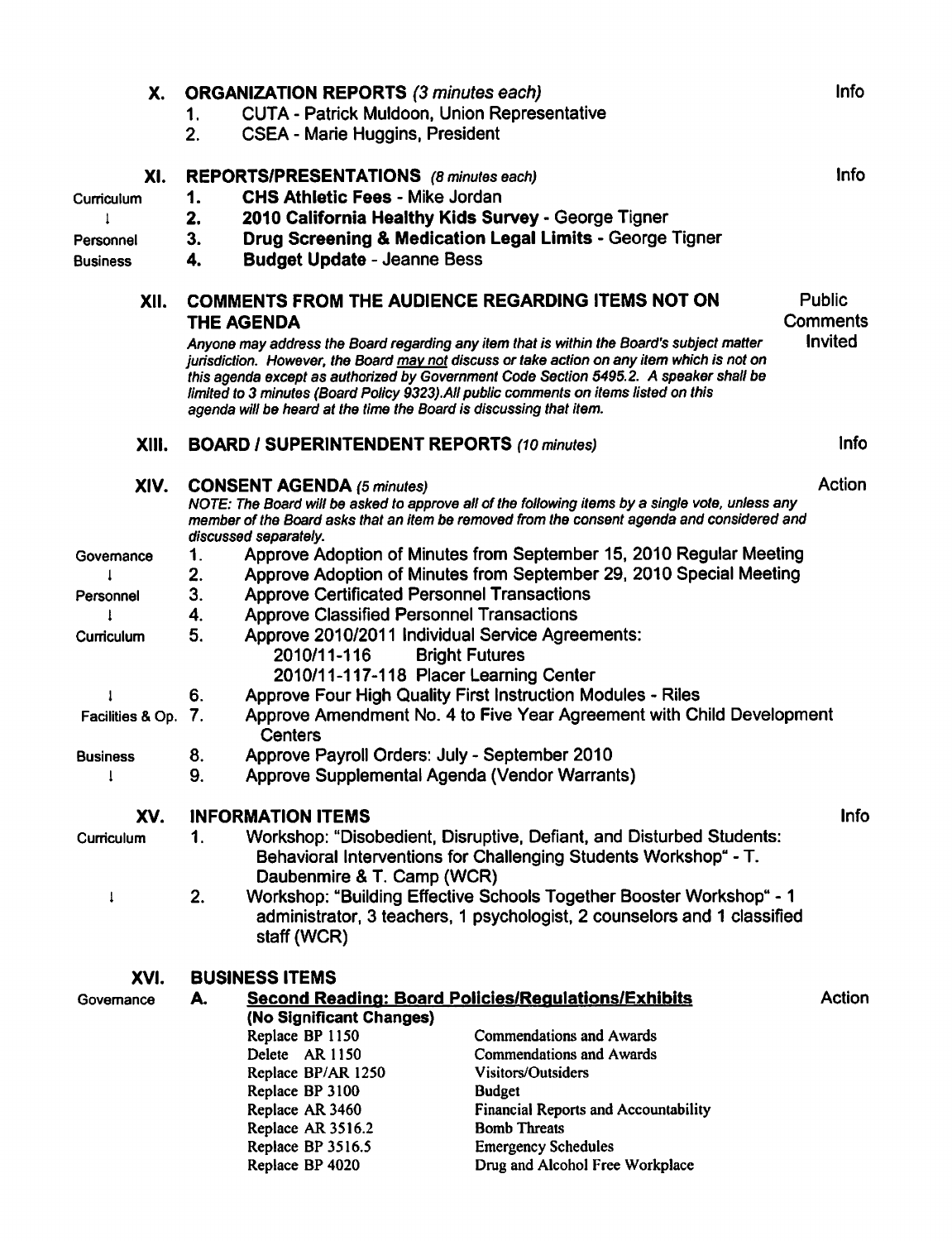| X.               | <b>ORGANIZATION REPORTS (3 minutes each)</b>                                                                                                                                                                                                                                                                                                                                                                                                                  |                                                                                                                                                                        |                                                                     |             |  |  |  |  |
|------------------|---------------------------------------------------------------------------------------------------------------------------------------------------------------------------------------------------------------------------------------------------------------------------------------------------------------------------------------------------------------------------------------------------------------------------------------------------------------|------------------------------------------------------------------------------------------------------------------------------------------------------------------------|---------------------------------------------------------------------|-------------|--|--|--|--|
|                  | <b>CUTA - Patrick Muldoon, Union Representative</b><br>1.                                                                                                                                                                                                                                                                                                                                                                                                     |                                                                                                                                                                        |                                                                     |             |  |  |  |  |
|                  | 2.                                                                                                                                                                                                                                                                                                                                                                                                                                                            | <b>CSEA - Marie Huggins, President</b>                                                                                                                                 |                                                                     |             |  |  |  |  |
| XI.              | REPORTS/PRESENTATIONS (8 minutes each)                                                                                                                                                                                                                                                                                                                                                                                                                        |                                                                                                                                                                        |                                                                     |             |  |  |  |  |
| Curriculum       | 1.                                                                                                                                                                                                                                                                                                                                                                                                                                                            | <b>CHS Athletic Fees - Mike Jordan</b>                                                                                                                                 |                                                                     |             |  |  |  |  |
|                  | 2.                                                                                                                                                                                                                                                                                                                                                                                                                                                            |                                                                                                                                                                        | 2010 California Healthy Kids Survey - George Tigner                 |             |  |  |  |  |
| Personnel        | 3.                                                                                                                                                                                                                                                                                                                                                                                                                                                            |                                                                                                                                                                        | Drug Screening & Medication Legal Limits - George Tigner            |             |  |  |  |  |
| Business         | 4.                                                                                                                                                                                                                                                                                                                                                                                                                                                            | <b>Budget Update - Jeanne Bess</b>                                                                                                                                     |                                                                     |             |  |  |  |  |
| XII.             | <b>COMMENTS FROM THE AUDIENCE REGARDING ITEMS NOT ON</b><br><b>THE AGENDA</b>                                                                                                                                                                                                                                                                                                                                                                                 |                                                                                                                                                                        |                                                                     |             |  |  |  |  |
|                  | Invited<br>Anyone may address the Board regarding any item that is within the Board's subject matter<br>jurisdiction. However, the Board may not discuss or take action on any item which is not on<br>this agenda except as authorized by Government Code Section 5495.2. A speaker shall be<br>limited to 3 minutes (Board Policy 9323). All public comments on items listed on this<br>agenda will be heard at the time the Board is discussing that item. |                                                                                                                                                                        |                                                                     |             |  |  |  |  |
| XIII.            | <b>BOARD / SUPERINTENDENT REPORTS (10 minutes)</b>                                                                                                                                                                                                                                                                                                                                                                                                            | <b>Info</b>                                                                                                                                                            |                                                                     |             |  |  |  |  |
| XIV.             | Action<br><b>CONSENT AGENDA (5 minutes)</b><br>NOTE: The Board will be asked to approve all of the following items by a single vote, unless any<br>member of the Board asks that an item be removed from the consent agenda and considered and<br>discussed separately.                                                                                                                                                                                       |                                                                                                                                                                        |                                                                     |             |  |  |  |  |
| Governance       | 1.                                                                                                                                                                                                                                                                                                                                                                                                                                                            | Approve Adoption of Minutes from September 15, 2010 Regular Meeting                                                                                                    |                                                                     |             |  |  |  |  |
|                  | 2.                                                                                                                                                                                                                                                                                                                                                                                                                                                            |                                                                                                                                                                        | Approve Adoption of Minutes from September 29, 2010 Special Meeting |             |  |  |  |  |
| Personnel        | 3.<br><b>Approve Certificated Personnel Transactions</b>                                                                                                                                                                                                                                                                                                                                                                                                      |                                                                                                                                                                        |                                                                     |             |  |  |  |  |
|                  | 4.                                                                                                                                                                                                                                                                                                                                                                                                                                                            | <b>Approve Classified Personnel Transactions</b>                                                                                                                       |                                                                     |             |  |  |  |  |
| Curriculum       | 5.                                                                                                                                                                                                                                                                                                                                                                                                                                                            | Approve 2010/2011 Individual Service Agreements:<br>2010/11-116<br><b>Bright Futures</b><br>2010/11-117-118 Placer Learning Center                                     |                                                                     |             |  |  |  |  |
| 1                | 6.                                                                                                                                                                                                                                                                                                                                                                                                                                                            | Approve Four High Quality First Instruction Modules - Riles                                                                                                            |                                                                     |             |  |  |  |  |
| Facilities & Op. | Approve Amendment No. 4 to Five Year Agreement with Child Development<br>7.<br>Centers                                                                                                                                                                                                                                                                                                                                                                        |                                                                                                                                                                        |                                                                     |             |  |  |  |  |
| <b>Business</b>  | Approve Payroll Orders: July - September 2010<br>8.                                                                                                                                                                                                                                                                                                                                                                                                           |                                                                                                                                                                        |                                                                     |             |  |  |  |  |
|                  | 9.                                                                                                                                                                                                                                                                                                                                                                                                                                                            | Approve Supplemental Agenda (Vendor Warrants)                                                                                                                          |                                                                     |             |  |  |  |  |
| XV.              |                                                                                                                                                                                                                                                                                                                                                                                                                                                               | <b>INFORMATION ITEMS</b>                                                                                                                                               |                                                                     | <b>Info</b> |  |  |  |  |
| Curriculum       | 1.                                                                                                                                                                                                                                                                                                                                                                                                                                                            | Workshop: "Disobedient, Disruptive, Defiant, and Disturbed Students:<br>Behavioral Interventions for Challenging Students Workshop" - T.<br>Daubenmire & T. Camp (WCR) |                                                                     |             |  |  |  |  |
| $\mathbf{I}$     | 2.<br>Workshop: "Building Effective Schools Together Booster Workshop" - 1<br>administrator, 3 teachers, 1 psychologist, 2 counselors and 1 classified<br>staff (WCR)                                                                                                                                                                                                                                                                                         |                                                                                                                                                                        |                                                                     |             |  |  |  |  |
| XVI.             | <b>BUSINESS ITEMS</b>                                                                                                                                                                                                                                                                                                                                                                                                                                         |                                                                                                                                                                        |                                                                     |             |  |  |  |  |
| Governance       | <b>Second Reading: Board Policies/Regulations/Exhibits</b><br>Action<br>А.                                                                                                                                                                                                                                                                                                                                                                                    |                                                                                                                                                                        |                                                                     |             |  |  |  |  |
|                  |                                                                                                                                                                                                                                                                                                                                                                                                                                                               | (No Significant Changes)                                                                                                                                               |                                                                     |             |  |  |  |  |
|                  |                                                                                                                                                                                                                                                                                                                                                                                                                                                               | Replace BP 1150                                                                                                                                                        | <b>Commendations and Awards</b>                                     |             |  |  |  |  |
|                  |                                                                                                                                                                                                                                                                                                                                                                                                                                                               | Delete AR 1150                                                                                                                                                         | Commendations and Awards                                            |             |  |  |  |  |
|                  |                                                                                                                                                                                                                                                                                                                                                                                                                                                               | Replace BP/AR 1250                                                                                                                                                     | Visitors/Outsiders                                                  |             |  |  |  |  |
|                  |                                                                                                                                                                                                                                                                                                                                                                                                                                                               | Replace BP 3100<br>Replace AR 3460                                                                                                                                     | <b>Budget</b><br><b>Financial Reports and Accountability</b>        |             |  |  |  |  |
|                  |                                                                                                                                                                                                                                                                                                                                                                                                                                                               | Replace AR 3516.2                                                                                                                                                      | <b>Bomb Threats</b>                                                 |             |  |  |  |  |
|                  |                                                                                                                                                                                                                                                                                                                                                                                                                                                               | Replace BP 3516.5                                                                                                                                                      | <b>Emergency Schedules</b>                                          |             |  |  |  |  |
|                  |                                                                                                                                                                                                                                                                                                                                                                                                                                                               | Replace BP 4020                                                                                                                                                        | Drug and Alcohol Free Workplace                                     |             |  |  |  |  |
|                  |                                                                                                                                                                                                                                                                                                                                                                                                                                                               |                                                                                                                                                                        |                                                                     |             |  |  |  |  |